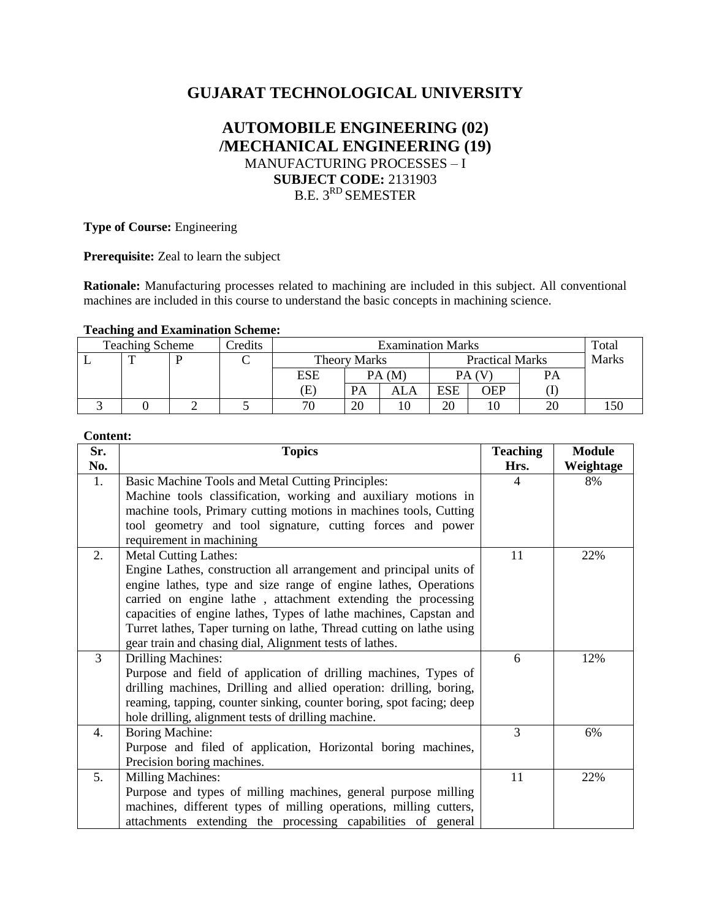# **GUJARAT TECHNOLOGICAL UNIVERSITY**

## **AUTOMOBILE ENGINEERING (02) /MECHANICAL ENGINEERING (19)** MANUFACTURING PROCESSES – I **SUBJECT CODE:** 2131903 B.E. 3<sup>RD</sup> SEMESTER

**Type of Course:** Engineering

**Prerequisite:** Zeal to learn the subject

**Rationale:** Manufacturing processes related to machining are included in this subject. All conventional machines are included in this course to understand the basic concepts in machining science.

#### **Teaching and Examination Scheme:**

| <b>Teaching Scheme</b> |              |  | Credits | <b>Examination Marks</b> |       |                        |     |     |       | Total |
|------------------------|--------------|--|---------|--------------------------|-------|------------------------|-----|-----|-------|-------|
|                        | $\mathbf{r}$ |  |         | <b>Theory Marks</b>      |       | <b>Practical Marks</b> |     |     | Marks |       |
|                        |              |  |         | <b>ESE</b>               | PA (M |                        |     |     | PA    |       |
|                        |              |  |         | Œ                        | PА    | ALA                    | ESE | OEP |       |       |
|                        |              |  |         | 70                       | 20    |                        | 20  | 10  | 20    |       |

### **Content:**

| Sr. | <b>Topics</b>                                                        | <b>Teaching</b> | <b>Module</b> |
|-----|----------------------------------------------------------------------|-----------------|---------------|
| No. |                                                                      | Hrs.            | Weightage     |
| 1.  | Basic Machine Tools and Metal Cutting Principles:                    | 4               | 8%            |
|     | Machine tools classification, working and auxiliary motions in       |                 |               |
|     | machine tools, Primary cutting motions in machines tools, Cutting    |                 |               |
|     | tool geometry and tool signature, cutting forces and power           |                 |               |
|     | requirement in machining                                             |                 |               |
| 2.  | <b>Metal Cutting Lathes:</b>                                         | 11              | 22%           |
|     | Engine Lathes, construction all arrangement and principal units of   |                 |               |
|     | engine lathes, type and size range of engine lathes, Operations      |                 |               |
|     | carried on engine lathe, attachment extending the processing         |                 |               |
|     | capacities of engine lathes, Types of lathe machines, Capstan and    |                 |               |
|     | Turret lathes, Taper turning on lathe, Thread cutting on lathe using |                 |               |
|     | gear train and chasing dial, Alignment tests of lathes.              |                 |               |
| 3   | <b>Drilling Machines:</b>                                            | 6               | 12%           |
|     | Purpose and field of application of drilling machines, Types of      |                 |               |
|     | drilling machines, Drilling and allied operation: drilling, boring,  |                 |               |
|     | reaming, tapping, counter sinking, counter boring, spot facing; deep |                 |               |
|     | hole drilling, alignment tests of drilling machine.                  |                 |               |
| 4.  | Boring Machine:                                                      | 3               | 6%            |
|     | Purpose and filed of application, Horizontal boring machines,        |                 |               |
|     | Precision boring machines.                                           |                 |               |
| 5.  | <b>Milling Machines:</b>                                             | 11              | 22%           |
|     | Purpose and types of milling machines, general purpose milling       |                 |               |
|     | machines, different types of milling operations, milling cutters,    |                 |               |
|     | attachments extending the processing capabilities of general         |                 |               |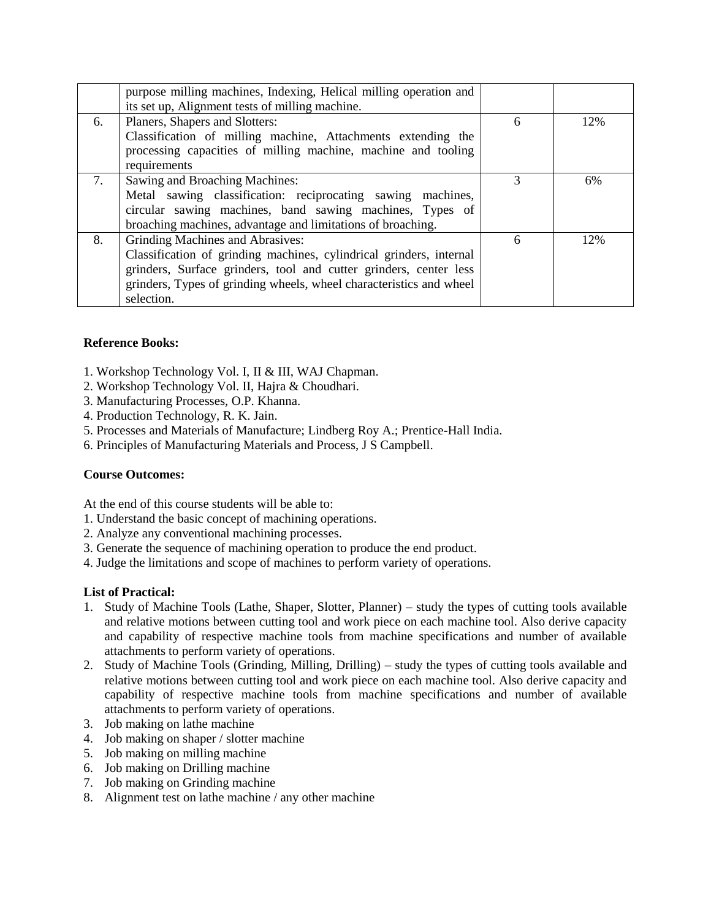|    | purpose milling machines, Indexing, Helical milling operation and   |   |     |
|----|---------------------------------------------------------------------|---|-----|
|    | its set up, Alignment tests of milling machine.                     |   |     |
| 6. | Planers, Shapers and Slotters:                                      | 6 | 12% |
|    | Classification of milling machine, Attachments extending the        |   |     |
|    | processing capacities of milling machine, machine and tooling       |   |     |
|    | requirements                                                        |   |     |
| 7. | Sawing and Broaching Machines:                                      |   | 6%  |
|    | Metal sawing classification: reciprocating sawing machines,         |   |     |
|    | circular sawing machines, band sawing machines, Types of            |   |     |
|    | broaching machines, advantage and limitations of broaching.         |   |     |
| 8. | Grinding Machines and Abrasives:                                    | 6 | 12% |
|    | Classification of grinding machines, cylindrical grinders, internal |   |     |
|    | grinders, Surface grinders, tool and cutter grinders, center less   |   |     |
|    | grinders, Types of grinding wheels, wheel characteristics and wheel |   |     |
|    | selection.                                                          |   |     |

## **Reference Books:**

- 1. Workshop Technology Vol. I, II & III, WAJ Chapman.
- 2. Workshop Technology Vol. II, Hajra & Choudhari.
- 3. Manufacturing Processes, O.P. Khanna.
- 4. Production Technology, R. K. Jain.
- 5. Processes and Materials of Manufacture; Lindberg Roy A.; Prentice-Hall India.
- 6. Principles of Manufacturing Materials and Process, J S Campbell.

## **Course Outcomes:**

At the end of this course students will be able to:

- 1. Understand the basic concept of machining operations.
- 2. Analyze any conventional machining processes.
- 3. Generate the sequence of machining operation to produce the end product.
- 4. Judge the limitations and scope of machines to perform variety of operations.

## **List of Practical:**

- 1. Study of Machine Tools (Lathe, Shaper, Slotter, Planner) study the types of cutting tools available and relative motions between cutting tool and work piece on each machine tool. Also derive capacity and capability of respective machine tools from machine specifications and number of available attachments to perform variety of operations.
- 2. Study of Machine Tools (Grinding, Milling, Drilling) study the types of cutting tools available and relative motions between cutting tool and work piece on each machine tool. Also derive capacity and capability of respective machine tools from machine specifications and number of available attachments to perform variety of operations.
- 3. Job making on lathe machine
- 4. Job making on shaper / slotter machine
- 5. Job making on milling machine
- 6. Job making on Drilling machine
- 7. Job making on Grinding machine
- 8. Alignment test on lathe machine / any other machine